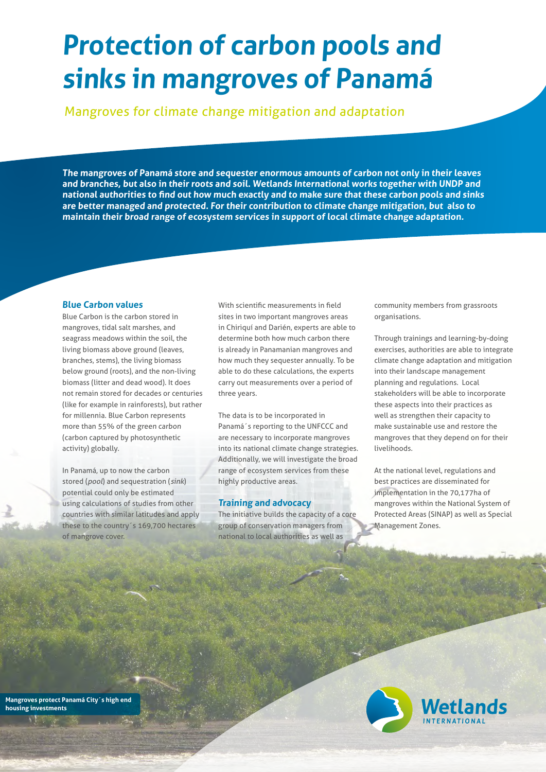# **Protection of carbon pools and sinks in mangroves of Panamá**

Mangroves for climate change mitigation and adaptation

**The mangroves of Panamá store and sequester enormous amounts of carbon not only in their leaves and branches, but also in their roots and soil. Wetlands International works together with UNDP and national authorities to find out how much exactly and to make sure that these carbon pools and sinks are better managed and protected. For their contribution to climate change mitigation, but also to maintain their broad range of ecosystem services in support of local climate change adaptation.** 

#### **Blue Carbon values**

Blue Carbon is the carbon stored in mangroves, tidal salt marshes, and seagrass meadows within the soil, the living biomass above ground (leaves, branches, stems), the living biomass below ground (roots), and the non-living biomass (litter and dead wood). It does not remain stored for decades or centuries (like for example in rainforests), but rather for millennia. Blue Carbon represents more than 55% of the green carbon (carbon captured by photosynthetic activity) globally.

In Panamá, up to now the carbon stored (pool) and sequestration (sink) potential could only be estimated using calculations of studies from other countries with similar latitudes and apply these to the country´s 169,700 hectares of mangrove cover.

With scientific measurements in field sites in two important mangroves areas in Chiriquí and Darién, experts are able to determine both how much carbon there is already in Panamanian mangroves and how much they sequester annually. To be able to do these calculations, the experts carry out measurements over a period of three years.

The data is to be incorporated in Panamá´s reporting to the UNFCCC and are necessary to incorporate mangroves into its national climate change strategies. Additionally, we will investigate the broad range of ecosystem services from these highly productive areas.

#### **Training and advocacy**

The initiative builds the capacity of a core group of conservation managers from national to local authorities as well as

community members from grassroots organisations.

Through trainings and learning-by-doing exercises, authorities are able to integrate climate change adaptation and mitigation into their landscape management planning and regulations. Local stakeholders will be able to incorporate these aspects into their practices as well as strengthen their capacity to make sustainable use and restore the mangroves that they depend on for their livelihoods.

At the national level, regulations and best practices are disseminated for implementation in the 70,177ha of mangroves within the National System of Protected Areas (SINAP) as well as Special Management Zones.